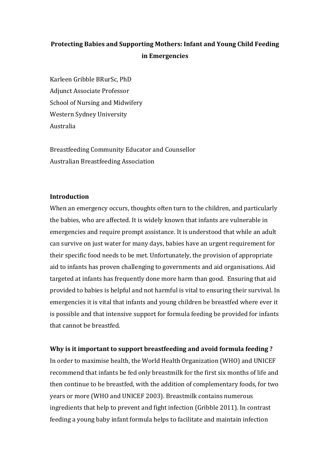# **Protecting Babies and Supporting Mothers: Infant and Young Child Feeding in Emergencies**

Karleen Gribble BRurSc, PhD Adjunct Associate Professor School of Nursing and Midwifery Western Sydney University Australia

Breastfeeding Community Educator and Counsellor Australian Breastfeeding Association

# **Introduction**

When an emergency occurs, thoughts often turn to the children, and particularly the babies, who are affected. It is widely known that infants are vulnerable in emergencies and require prompt assistance. It is understood that while an adult can survive on just water for many days, babies have an urgent requirement for their specific food needs to be met. Unfortunately, the provision of appropriate aid to infants has proven challenging to governments and aid organisations. Aid targeted at infants has frequently done more harm than good. Ensuring that aid provided to babies is helpful and not harmful is vital to ensuring their survival. In emergencies it is vital that infants and young children be breastfed where ever it is possible and that intensive support for formula feeding be provided for infants that cannot be breastfed.

# **Why is it important to support breastfeeding and avoid formula feeding ?**

In order to maximise health, the World Health Organization (WHO) and UNICEF recommend that infants be fed only breastmilk for the first six months of life and then continue to be breastfed, with the addition of complementary foods, for two years or more (WHO and UNICEF 2003). Breastmilk contains numerous ingredients that help to prevent and fight infection (Gribble 2011). In contrast feeding a young baby infant formula helps to facilitate and maintain infection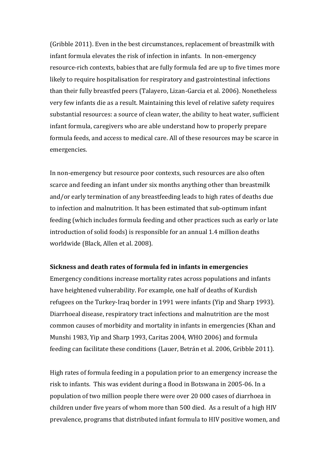(Gribble 2011). Even in the best circumstances, replacement of breastmilk with infant formula elevates the risk of infection in infants. In non-emergency resource-rich contexts, babies that are fully formula fed are up to five times more likely to require hospitalisation for respiratory and gastrointestinal infections than their fully breastfed peers (Talayero, Lizan-Garcia et al. 2006). Nonetheless very few infants die as a result. Maintaining this level of relative safety requires substantial resources: a source of clean water, the ability to heat water, sufficient infant formula, caregivers who are able understand how to properly prepare formula feeds, and access to medical care. All of these resources may be scarce in emergencies.

In non-emergency but resource poor contexts, such resources are also often scarce and feeding an infant under six months anything other than breastmilk and/or early termination of any breastfeeding leads to high rates of deaths due to infection and malnutrition. It has been estimated that sub-optimum infant feeding (which includes formula feeding and other practices such as early or late introduction of solid foods) is responsible for an annual 1.4 million deaths worldwide (Black, Allen et al. 2008).

## **Sickness and death rates of formula fed in infants in emergencies**

Emergency conditions increase mortality rates across populations and infants have heightened vulnerability. For example, one half of deaths of Kurdish refugees on the Turkey-Iraq border in 1991 were infants (Yip and Sharp 1993). Diarrhoeal disease, respiratory tract infections and malnutrition are the most common causes of morbidity and mortality in infants in emergencies (Khan and Munshi 1983, Yip and Sharp 1993, Caritas 2004, WHO 2006) and formula feeding can facilitate these conditions (Lauer, Betrán et al. 2006, Gribble 2011).

High rates of formula feeding in a population prior to an emergency increase the risk to infants. This was evident during a flood in Botswana in 2005-06. In a population of two million people there were over 20 000 cases of diarrhoea in children under five years of whom more than 500 died. As a result of a high HIV prevalence, programs that distributed infant formula to HIV positive women, and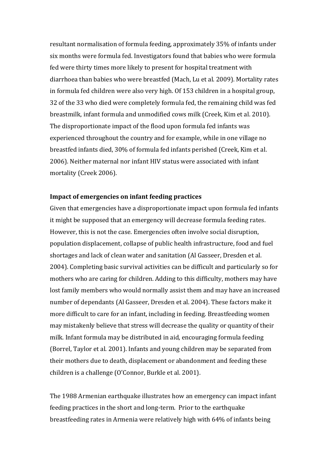resultant normalisation of formula feeding, approximately 35% of infants under six months were formula fed. Investigators found that babies who were formula fed were thirty times more likely to present for hospital treatment with diarrhoea than babies who were breastfed (Mach, Lu et al. 2009). Mortality rates in formula fed children were also very high. Of 153 children in a hospital group, 32 of the 33 who died were completely formula fed, the remaining child was fed breastmilk, infant formula and unmodified cows milk (Creek, Kim et al. 2010). The disproportionate impact of the flood upon formula fed infants was experienced throughout the country and for example, while in one village no breastfed infants died, 30% of formula fed infants perished (Creek, Kim et al. 2006). Neither maternal nor infant HIV status were associated with infant mortality (Creek 2006).

#### **Impact of emergencies on infant feeding practices**

Given that emergencies have a disproportionate impact upon formula fed infants it might be supposed that an emergency will decrease formula feeding rates. However, this is not the case. Emergencies often involve social disruption, population displacement, collapse of public health infrastructure, food and fuel shortages and lack of clean water and sanitation (Al Gasseer, Dresden et al. 2004). Completing basic survival activities can be difficult and particularly so for mothers who are caring for children. Adding to this difficulty, mothers may have lost family members who would normally assist them and may have an increased number of dependants (Al Gasseer, Dresden et al. 2004). These factors make it more difficult to care for an infant, including in feeding. Breastfeeding women may mistakenly believe that stress will decrease the quality or quantity of their milk. Infant formula may be distributed in aid, encouraging formula feeding (Borrel, Taylor et al. 2001). Infants and young children may be separated from their mothers due to death, displacement or abandonment and feeding these children is a challenge (O'Connor, Burkle et al. 2001).

The 1988 Armenian earthquake illustrates how an emergency can impact infant feeding practices in the short and long-term. Prior to the earthquake breastfeeding rates in Armenia were relatively high with 64% of infants being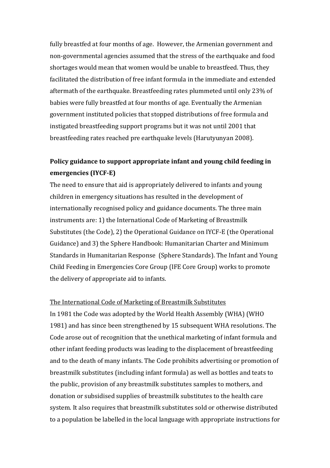fully breastfed at four months of age. However, the Armenian government and non-governmental agencies assumed that the stress of the earthquake and food shortages would mean that women would be unable to breastfeed. Thus, they facilitated the distribution of free infant formula in the immediate and extended aftermath of the earthquake. Breastfeeding rates plummeted until only 23% of babies were fully breastfed at four months of age. Eventually the Armenian government instituted policies that stopped distributions of free formula and instigated breastfeeding support programs but it was not until 2001 that breastfeeding rates reached pre earthquake levels (Harutyunyan 2008).

# **Policy guidance to support appropriate infant and young child feeding in emergencies (IYCF-E)**

The need to ensure that aid is appropriately delivered to infants and young children in emergency situations has resulted in the development of internationally recognised policy and guidance documents. The three main instruments are: 1) the International Code of Marketing of Breastmilk Substitutes (the Code), 2) the Operational Guidance on IYCF-E (the Operational Guidance) and 3) the Sphere Handbook: Humanitarian Charter and Minimum Standards in Humanitarian Response (Sphere Standards). The Infant and Young Child Feeding in Emergencies Core Group (IFE Core Group) works to promote the delivery of appropriate aid to infants.

## The International Code of Marketing of Breastmilk Substitutes

In 1981 the Code was adopted by the World Health Assembly (WHA) (WHO 1981) and has since been strengthened by 15 subsequent WHA resolutions. The Code arose out of recognition that the unethical marketing of infant formula and other infant feeding products was leading to the displacement of breastfeeding and to the death of many infants. The Code prohibits advertising or promotion of breastmilk substitutes (including infant formula) as well as bottles and teats to the public, provision of any breastmilk substitutes samples to mothers, and donation or subsidised supplies of breastmilk substitutes to the health care system. It also requires that breastmilk substitutes sold or otherwise distributed to a population be labelled in the local language with appropriate instructions for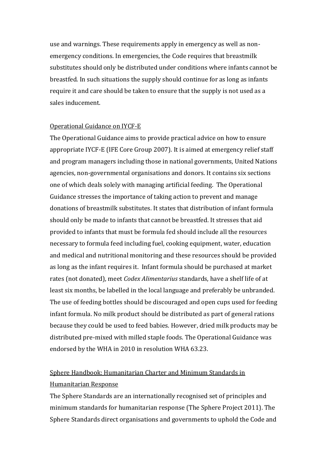use and warnings. These requirements apply in emergency as well as nonemergency conditions. In emergencies, the Code requires that breastmilk substitutes should only be distributed under conditions where infants cannot be breastfed. In such situations the supply should continue for as long as infants require it and care should be taken to ensure that the supply is not used as a sales inducement.

#### Operational Guidance on IYCF-E

The Operational Guidance aims to provide practical advice on how to ensure appropriate IYCF-E (IFE Core Group 2007). It is aimed at emergency relief staff and program managers including those in national governments, United Nations agencies, non-governmental organisations and donors. It contains six sections one of which deals solely with managing artificial feeding. The Operational Guidance stresses the importance of taking action to prevent and manage donations of breastmilk substitutes. It states that distribution of infant formula should only be made to infants that cannot be breastfed. It stresses that aid provided to infants that must be formula fed should include all the resources necessary to formula feed including fuel, cooking equipment, water, education and medical and nutritional monitoring and these resources should be provided as long as the infant requires it. Infant formula should be purchased at market rates (not donated), meet *Codex Alimentarius* standards, have a shelf life of at least six months, be labelled in the local language and preferably be unbranded. The use of feeding bottles should be discouraged and open cups used for feeding infant formula. No milk product should be distributed as part of general rations because they could be used to feed babies. However, dried milk products may be distributed pre-mixed with milled staple foods. The Operational Guidance was endorsed by the WHA in 2010 in resolution WHA 63.23.

# Sphere Handbook: Humanitarian Charter and Minimum Standards in Humanitarian Response

The Sphere Standards are an internationally recognised set of principles and minimum standards for humanitarian response (The Sphere Project 2011). The Sphere Standards direct organisations and governments to uphold the Code and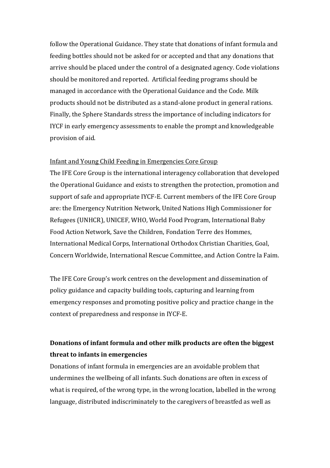follow the Operational Guidance. They state that donations of infant formula and feeding bottles should not be asked for or accepted and that any donations that arrive should be placed under the control of a designated agency. Code violations should be monitored and reported. Artificial feeding programs should be managed in accordance with the Operational Guidance and the Code. Milk products should not be distributed as a stand-alone product in general rations. Finally, the Sphere Standards stress the importance of including indicators for IYCF in early emergency assessments to enable the prompt and knowledgeable provision of aid.

# Infant and Young Child Feeding in Emergencies Core Group

The IFE Core Group is the international interagency collaboration that developed the Operational Guidance and exists to strengthen the protection, promotion and support of safe and appropriate IYCF-E. Current members of the IFE Core Group are: the Emergency Nutrition Network, United Nations High Commissioner for Refugees (UNHCR), UNICEF, WHO, World Food Program, International Baby Food Action Network, Save the Children, Fondation Terre des Hommes, International Medical Corps, International Orthodox Christian Charities, Goal, Concern Worldwide, International Rescue Committee, and Action Contre la Faim.

The IFE Core Group's work centres on the development and dissemination of policy guidance and capacity building tools, capturing and learning from emergency responses and promoting positive policy and practice change in the context of preparedness and response in IYCF-E.

# **Donations of infant formula and other milk products are often the biggest threat to infants in emergencies**

Donations of infant formula in emergencies are an avoidable problem that undermines the wellbeing of all infants. Such donations are often in excess of what is required, of the wrong type, in the wrong location, labelled in the wrong language, distributed indiscriminately to the caregivers of breastfed as well as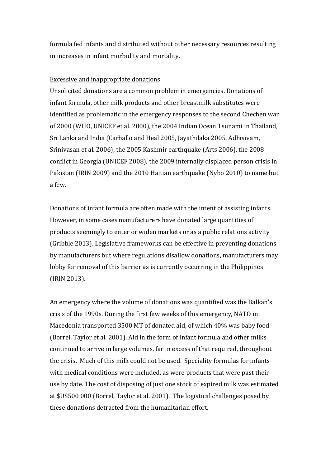formula fed infants and distributed without other necessary resources resulting in increases in infant morbidity and mortality.

#### Excessive and inappropriate donations

Unsolicited donations are a common problem in emergencies. Donations of infant formula, other milk products and other breastmilk substitutes were identified as problematic in the emergency responses to the second Chechen war of 2000 (WHO, UNICEF et al. 2000), the 2004 Indian Ocean Tsunami in Thailand, Sri Lanka and India (Carballo and Heal 2005, Jayathilaka 2005, Adhisivam, Srinivasan et al. 2006), the 2005 Kashmir earthquake (Arts 2006), the 2008 conflict in Georgia (UNICEF 2008), the 2009 internally displaced person crisis in Pakistan (IRIN 2009) and the 2010 Haitian earthquake (Nybo 2010) to name but a few.

Donations of infant formula are often made with the intent of assisting infants. However, in some cases manufacturers have donated large quantities of products seemingly to enter or widen markets or as a public relations activity (Gribble 2013). Legislative frameworks can be effective in preventing donations by manufacturers but where regulations disallow donations, manufacturers may lobby for removal of this barrier as is currently occurring in the Philippines (IRIN 2013).

An emergency where the volume of donations was quantified was the Balkan's crisis of the 1990s. During the first few weeks of this emergency, NATO in Macedonia transported 3500 MT of donated aid, of which 40% was baby food (Borrel, Taylor et al. 2001). Aid in the form of infant formula and other milks continued to arrive in large volumes, far in excess of that required, throughout the crisis. Much of this milk could not be used. Speciality formulas for infants with medical conditions were included, as were products that were past their use by date. The cost of disposing of just one stock of expired milk was estimated at \$US500 000 (Borrel, Taylor et al. 2001). The logistical challenges posed by these donations detracted from the humanitarian effort.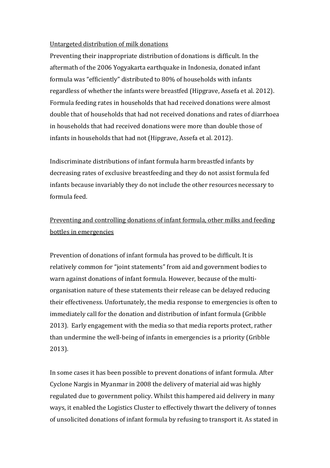# Untargeted distribution of milk donations

Preventing their inappropriate distribution of donations is difficult. In the aftermath of the 2006 Yogyakarta earthquake in Indonesia, donated infant formula was "efficiently" distributed to 80% of households with infants regardless of whether the infants were breastfed (Hipgrave, Assefa et al. 2012). Formula feeding rates in households that had received donations were almost double that of households that had not received donations and rates of diarrhoea in households that had received donations were more than double those of infants in households that had not (Hipgrave, Assefa et al. 2012).

Indiscriminate distributions of infant formula harm breastfed infants by decreasing rates of exclusive breastfeeding and they do not assist formula fed infants because invariably they do not include the other resources necessary to formula feed.

# Preventing and controlling donations of infant formula, other milks and feeding bottles in emergencies

Prevention of donations of infant formula has proved to be difficult. It is relatively common for "joint statements" from aid and government bodies to warn against donations of infant formula. However, because of the multiorganisation nature of these statements their release can be delayed reducing their effectiveness. Unfortunately, the media response to emergencies is often to immediately call for the donation and distribution of infant formula (Gribble 2013). Early engagement with the media so that media reports protect, rather than undermine the well-being of infants in emergencies is a priority (Gribble 2013).

In some cases it has been possible to prevent donations of infant formula. After Cyclone Nargis in Myanmar in 2008 the delivery of material aid was highly regulated due to government policy. Whilst this hampered aid delivery in many ways, it enabled the Logistics Cluster to effectively thwart the delivery of tonnes of unsolicited donations of infant formula by refusing to transport it. As stated in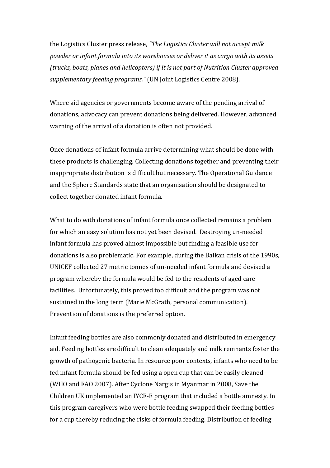the Logistics Cluster press release, *"The Logistics Cluster will not accept milk powder or infant formula into its warehouses or deliver it as cargo with its assets (trucks, boats, planes and helicopters) if it is not part of Nutrition Cluster approved supplementary feeding programs."* (UN Joint Logistics Centre 2008).

Where aid agencies or governments become aware of the pending arrival of donations, advocacy can prevent donations being delivered. However, advanced warning of the arrival of a donation is often not provided.

Once donations of infant formula arrive determining what should be done with these products is challenging. Collecting donations together and preventing their inappropriate distribution is difficult but necessary. The Operational Guidance and the Sphere Standards state that an organisation should be designated to collect together donated infant formula.

What to do with donations of infant formula once collected remains a problem for which an easy solution has not yet been devised. Destroying un-needed infant formula has proved almost impossible but finding a feasible use for donations is also problematic. For example, during the Balkan crisis of the 1990s, UNICEF collected 27 metric tonnes of un-needed infant formula and devised a program whereby the formula would be fed to the residents of aged care facilities. Unfortunately, this proved too difficult and the program was not sustained in the long term (Marie McGrath, personal communication). Prevention of donations is the preferred option.

Infant feeding bottles are also commonly donated and distributed in emergency aid. Feeding bottles are difficult to clean adequately and milk remnants foster the growth of pathogenic bacteria. In resource poor contexts, infants who need to be fed infant formula should be fed using a open cup that can be easily cleaned (WHO and FAO 2007). After Cyclone Nargis in Myanmar in 2008, Save the Children UK implemented an IYCF-E program that included a bottle amnesty. In this program caregivers who were bottle feeding swapped their feeding bottles for a cup thereby reducing the risks of formula feeding. Distribution of feeding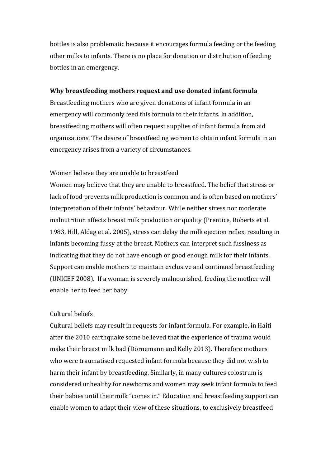bottles is also problematic because it encourages formula feeding or the feeding other milks to infants. There is no place for donation or distribution of feeding bottles in an emergency.

### **Why breastfeeding mothers request and use donated infant formula**

Breastfeeding mothers who are given donations of infant formula in an emergency will commonly feed this formula to their infants. In addition, breastfeeding mothers will often request supplies of infant formula from aid organisations. The desire of breastfeeding women to obtain infant formula in an emergency arises from a variety of circumstances.

## Women believe they are unable to breastfeed

Women may believe that they are unable to breastfeed. The belief that stress or lack of food prevents milk production is common and is often based on mothers' interpretation of their infants' behaviour. While neither stress nor moderate malnutrition affects breast milk production or quality (Prentice, Roberts et al. 1983, Hill, Aldag et al. 2005), stress can delay the milk ejection reflex, resulting in infants becoming fussy at the breast. Mothers can interpret such fussiness as indicating that they do not have enough or good enough milk for their infants. Support can enable mothers to maintain exclusive and continued breastfeeding (UNICEF 2008). If a woman is severely malnourished, feeding the mother will enable her to feed her baby.

## Cultural beliefs

Cultural beliefs may result in requests for infant formula. For example, in Haiti after the 2010 earthquake some believed that the experience of trauma would make their breast milk bad (Dörnemann and Kelly 2013). Therefore mothers who were traumatised requested infant formula because they did not wish to harm their infant by breastfeeding. Similarly, in many cultures colostrum is considered unhealthy for newborns and women may seek infant formula to feed their babies until their milk "comes in." Education and breastfeeding support can enable women to adapt their view of these situations, to exclusively breastfeed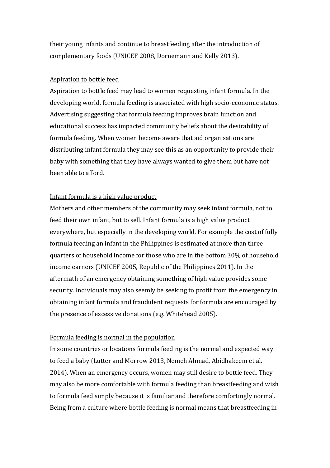their young infants and continue to breastfeeding after the introduction of complementary foods (UNICEF 2008, Dörnemann and Kelly 2013).

## Aspiration to bottle feed

Aspiration to bottle feed may lead to women requesting infant formula. In the developing world, formula feeding is associated with high socio-economic status. Advertising suggesting that formula feeding improves brain function and educational success has impacted community beliefs about the desirability of formula feeding. When women become aware that aid organisations are distributing infant formula they may see this as an opportunity to provide their baby with something that they have always wanted to give them but have not been able to afford.

# Infant formula is a high value product

Mothers and other members of the community may seek infant formula, not to feed their own infant, but to sell. Infant formula is a high value product everywhere, but especially in the developing world. For example the cost of fully formula feeding an infant in the Philippines is estimated at more than three quarters of household income for those who are in the bottom 30% of household income earners (UNICEF 2005, Republic of the Philippines 2011). In the aftermath of an emergency obtaining something of high value provides some security. Individuals may also seemly be seeking to profit from the emergency in obtaining infant formula and fraudulent requests for formula are encouraged by the presence of excessive donations (e.g. Whitehead 2005).

## Formula feeding is normal in the population

In some countries or locations formula feeding is the normal and expected way to feed a baby (Lutter and Morrow 2013, Nemeh Ahmad, Abidhakeem et al. 2014). When an emergency occurs, women may still desire to bottle feed. They may also be more comfortable with formula feeding than breastfeeding and wish to formula feed simply because it is familiar and therefore comfortingly normal. Being from a culture where bottle feeding is normal means that breastfeeding in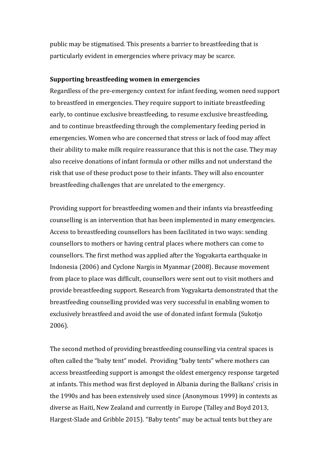public may be stigmatised. This presents a barrier to breastfeeding that is particularly evident in emergencies where privacy may be scarce.

#### **Supporting breastfeeding women in emergencies**

Regardless of the pre-emergency context for infant feeding, women need support to breastfeed in emergencies. They require support to initiate breastfeeding early, to continue exclusive breastfeeding, to resume exclusive breastfeeding, and to continue breastfeeding through the complementary feeding period in emergencies. Women who are concerned that stress or lack of food may affect their ability to make milk require reassurance that this is not the case. They may also receive donations of infant formula or other milks and not understand the risk that use of these product pose to their infants. They will also encounter breastfeeding challenges that are unrelated to the emergency.

Providing support for breastfeeding women and their infants via breastfeeding counselling is an intervention that has been implemented in many emergencies. Access to breastfeeding counsellors has been facilitated in two ways: sending counsellors to mothers or having central places where mothers can come to counsellors. The first method was applied after the Yogyakarta earthquake in Indonesia (2006) and Cyclone Nargis in Myanmar (2008). Because movement from place to place was difficult, counsellors were sent out to visit mothers and provide breastfeeding support. Research from Yogyakarta demonstrated that the breastfeeding counselling provided was very successful in enabling women to exclusively breastfeed and avoid the use of donated infant formula (Sukotjo 2006).

The second method of providing breastfeeding counselling via central spaces is often called the "baby tent" model. Providing "baby tents" where mothers can access breastfeeding support is amongst the oldest emergency response targeted at infants. This method was first deployed in Albania during the Balkans' crisis in the 1990s and has been extensively used since (Anonymous 1999) in contexts as diverse as Haiti, New Zealand and currently in Europe (Talley and Boyd 2013, Hargest-Slade and Gribble 2015). "Baby tents" may be actual tents but they are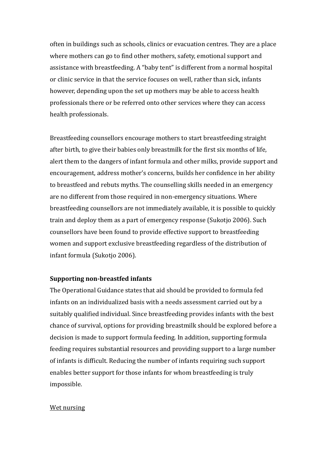often in buildings such as schools, clinics or evacuation centres. They are a place where mothers can go to find other mothers, safety, emotional support and assistance with breastfeeding. A "baby tent" is different from a normal hospital or clinic service in that the service focuses on well, rather than sick, infants however, depending upon the set up mothers may be able to access health professionals there or be referred onto other services where they can access health professionals.

Breastfeeding counsellors encourage mothers to start breastfeeding straight after birth, to give their babies only breastmilk for the first six months of life, alert them to the dangers of infant formula and other milks, provide support and encouragement, address mother's concerns, builds her confidence in her ability to breastfeed and rebuts myths. The counselling skills needed in an emergency are no different from those required in non-emergency situations. Where breastfeeding counsellors are not immediately available, it is possible to quickly train and deploy them as a part of emergency response (Sukotjo 2006). Such counsellors have been found to provide effective support to breastfeeding women and support exclusive breastfeeding regardless of the distribution of infant formula (Sukotjo 2006).

## **Supporting non-breastfed infants**

The Operational Guidance states that aid should be provided to formula fed infants on an individualized basis with a needs assessment carried out by a suitably qualified individual. Since breastfeeding provides infants with the best chance of survival, options for providing breastmilk should be explored before a decision is made to support formula feeding. In addition, supporting formula feeding requires substantial resources and providing support to a large number of infants is difficult. Reducing the number of infants requiring such support enables better support for those infants for whom breastfeeding is truly impossible.

#### Wet nursing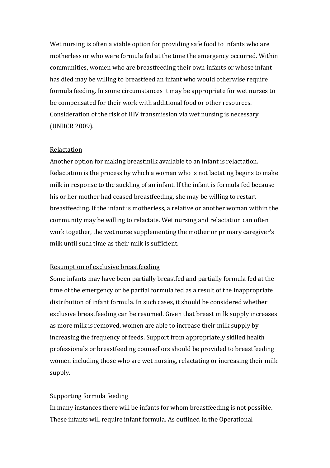Wet nursing is often a viable option for providing safe food to infants who are motherless or who were formula fed at the time the emergency occurred. Within communities, women who are breastfeeding their own infants or whose infant has died may be willing to breastfeed an infant who would otherwise require formula feeding. In some circumstances it may be appropriate for wet nurses to be compensated for their work with additional food or other resources. Consideration of the risk of HIV transmission via wet nursing is necessary (UNHCR 2009).

#### Relactation

Another option for making breastmilk available to an infant is relactation. Relactation is the process by which a woman who is not lactating begins to make milk in response to the suckling of an infant. If the infant is formula fed because his or her mother had ceased breastfeeding, she may be willing to restart breastfeeding. If the infant is motherless, a relative or another woman within the community may be willing to relactate. Wet nursing and relactation can often work together, the wet nurse supplementing the mother or primary caregiver's milk until such time as their milk is sufficient.

#### Resumption of exclusive breastfeeding

Some infants may have been partially breastfed and partially formula fed at the time of the emergency or be partial formula fed as a result of the inappropriate distribution of infant formula. In such cases, it should be considered whether exclusive breastfeeding can be resumed. Given that breast milk supply increases as more milk is removed, women are able to increase their milk supply by increasing the frequency of feeds. Support from appropriately skilled health professionals or breastfeeding counsellors should be provided to breastfeeding women including those who are wet nursing, relactating or increasing their milk supply.

#### Supporting formula feeding

In many instances there will be infants for whom breastfeeding is not possible. These infants will require infant formula. As outlined in the Operational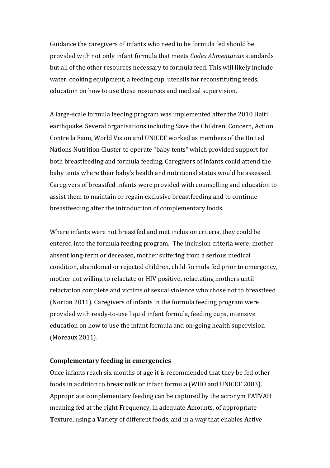Guidance the caregivers of infants who need to be formula fed should be provided with not only infant formula that meets *Codex Alimentarius* standards but all of the other resources necessary to formula feed. This will likely include water, cooking equipment, a feeding cup, utensils for reconstituting feeds, education on how to use these resources and medical supervision.

A large-scale formula feeding program was implemented after the 2010 Haiti earthquake. Several organisations including Save the Children, Concern, Action Contre la Faim, World Vision and UNICEF worked as members of the United Nations Nutrition Cluster to operate "baby tents" which provided support for both breastfeeding and formula feeding. Caregivers of infants could attend the baby tents where their baby's health and nutritional status would be assessed. Caregivers of breastfed infants were provided with counselling and education to assist them to maintain or regain exclusive breastfeeding and to continue breastfeeding after the introduction of complementary foods.

Where infants were not breastfed and met inclusion criteria, they could be entered into the formula feeding program. The inclusion criteria were: mother absent long-term or deceased, mother suffering from a serious medical condition, abandoned or rejected children, child formula fed prior to emergency, mother not willing to relactate or HIV positive, relactating mothers until relactation complete and victims of sexual violence who chose not to breastfeed (Norton 2011). Caregivers of infants in the formula feeding program were provided with ready-to-use liquid infant formula, feeding cups, intensive education on how to use the infant formula and on-going health supervision (Moreaux 2011).

#### **Complementary feeding in emergencies**

Once infants reach six months of age it is recommended that they be fed other foods in addition to breastmilk or infant formula (WHO and UNICEF 2003). Appropriate complementary feeding can be captured by the acronym FATVAH meaning fed at the right **F**requency, in adequate **A**mounts, of appropriate **T**exture, using a **V**ariety of different foods, and in a way that enables **A**ctive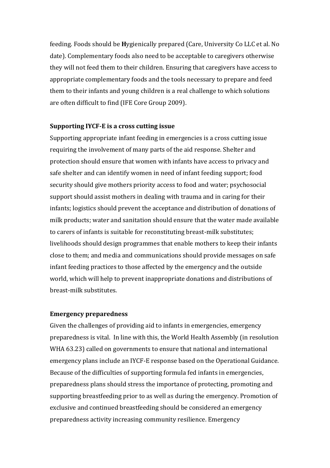feeding. Foods should be **H**ygienically prepared (Care, University Co LLC et al. No date). Complementary foods also need to be acceptable to caregivers otherwise they will not feed them to their children. Ensuring that caregivers have access to appropriate complementary foods and the tools necessary to prepare and feed them to their infants and young children is a real challenge to which solutions are often difficult to find (IFE Core Group 2009).

#### **Supporting IYCF-E is a cross cutting issue**

Supporting appropriate infant feeding in emergencies is a cross cutting issue requiring the involvement of many parts of the aid response. Shelter and protection should ensure that women with infants have access to privacy and safe shelter and can identify women in need of infant feeding support; food security should give mothers priority access to food and water; psychosocial support should assist mothers in dealing with trauma and in caring for their infants; logistics should prevent the acceptance and distribution of donations of milk products; water and sanitation should ensure that the water made available to carers of infants is suitable for reconstituting breast-milk substitutes; livelihoods should design programmes that enable mothers to keep their infants close to them; and media and communications should provide messages on safe infant feeding practices to those affected by the emergency and the outside world, which will help to prevent inappropriate donations and distributions of breast-milk substitutes.

#### **Emergency preparedness**

Given the challenges of providing aid to infants in emergencies, emergency preparedness is vital. In line with this, the World Health Assembly (in resolution WHA 63.23) called on governments to ensure that national and international emergency plans include an IYCF-E response based on the Operational Guidance. Because of the difficulties of supporting formula fed infants in emergencies, preparedness plans should stress the importance of protecting, promoting and supporting breastfeeding prior to as well as during the emergency. Promotion of exclusive and continued breastfeeding should be considered an emergency preparedness activity increasing community resilience. Emergency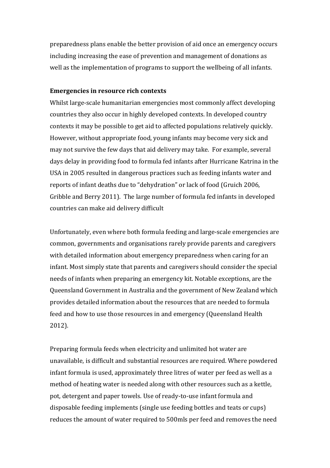preparedness plans enable the better provision of aid once an emergency occurs including increasing the ease of prevention and management of donations as well as the implementation of programs to support the wellbeing of all infants.

# **Emergencies in resource rich contexts**

Whilst large-scale humanitarian emergencies most commonly affect developing countries they also occur in highly developed contexts. In developed country contexts it may be possible to get aid to affected populations relatively quickly. However, without appropriate food, young infants may become very sick and may not survive the few days that aid delivery may take. For example, several days delay in providing food to formula fed infants after Hurricane Katrina in the USA in 2005 resulted in dangerous practices such as feeding infants water and reports of infant deaths due to "dehydration" or lack of food (Gruich 2006, Gribble and Berry 2011). The large number of formula fed infants in developed countries can make aid delivery difficult

Unfortunately, even where both formula feeding and large-scale emergencies are common, governments and organisations rarely provide parents and caregivers with detailed information about emergency preparedness when caring for an infant. Most simply state that parents and caregivers should consider the special needs of infants when preparing an emergency kit. Notable exceptions, are the Queensland Government in Australia and the government of New Zealand which provides detailed information about the resources that are needed to formula feed and how to use those resources in and emergency (Queensland Health 2012).

Preparing formula feeds when electricity and unlimited hot water are unavailable, is difficult and substantial resources are required. Where powdered infant formula is used, approximately three litres of water per feed as well as a method of heating water is needed along with other resources such as a kettle, pot, detergent and paper towels. Use of ready-to-use infant formula and disposable feeding implements (single use feeding bottles and teats or cups) reduces the amount of water required to 500mls per feed and removes the need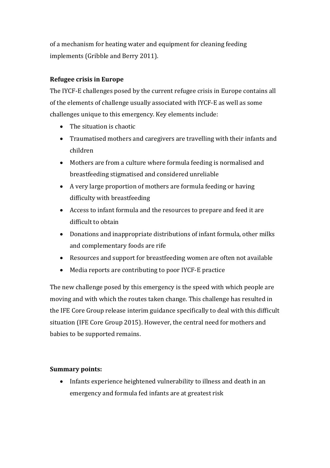of a mechanism for heating water and equipment for cleaning feeding implements (Gribble and Berry 2011).

# **Refugee crisis in Europe**

The IYCF-E challenges posed by the current refugee crisis in Europe contains all of the elements of challenge usually associated with IYCF-E as well as some challenges unique to this emergency. Key elements include:

- The situation is chaotic
- Traumatised mothers and caregivers are travelling with their infants and children
- Mothers are from a culture where formula feeding is normalised and breastfeeding stigmatised and considered unreliable
- A very large proportion of mothers are formula feeding or having difficulty with breastfeeding
- Access to infant formula and the resources to prepare and feed it are difficult to obtain
- Donations and inappropriate distributions of infant formula, other milks and complementary foods are rife
- Resources and support for breastfeeding women are often not available
- Media reports are contributing to poor IYCF-E practice

The new challenge posed by this emergency is the speed with which people are moving and with which the routes taken change. This challenge has resulted in the IFE Core Group release interim guidance specifically to deal with this difficult situation (IFE Core Group 2015). However, the central need for mothers and babies to be supported remains.

# **Summary points:**

 Infants experience heightened vulnerability to illness and death in an emergency and formula fed infants are at greatest risk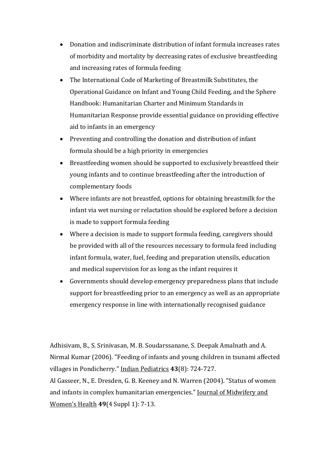- Donation and indiscriminate distribution of infant formula increases rates of morbidity and mortality by decreasing rates of exclusive breastfeeding and increasing rates of formula feeding
- The International Code of Marketing of Breastmilk Substitutes, the Operational Guidance on Infant and Young Child Feeding, and the Sphere Handbook: Humanitarian Charter and Minimum Standards in Humanitarian Response provide essential guidance on providing effective aid to infants in an emergency
- Preventing and controlling the donation and distribution of infant formula should be a high priority in emergencies
- Breastfeeding women should be supported to exclusively breastfeed their young infants and to continue breastfeeding after the introduction of complementary foods
- Where infants are not breastfed, options for obtaining breastmilk for the infant via wet nursing or relactation should be explored before a decision is made to support formula feeding
- Where a decision is made to support formula feeding, caregivers should be provided with all of the resources necessary to formula feed including infant formula, water, fuel, feeding and preparation utensils, education and medical supervision for as long as the infant requires it
- Governments should develop emergency preparedness plans that include support for breastfeeding prior to an emergency as well as an appropriate emergency response in line with internationally recognised guidance

Adhisivam, B., S. Srinivasan, M. B. Soudarssanane, S. Deepak Amalnath and A. Nirmal Kumar (2006). "Feeding of infants and young children in tsunami affected villages in Pondicherry." Indian Pediatrics **43**(8): 724-727.

Al Gasseer, N., E. Dresden, G. B. Keeney and N. Warren (2004). "Status of women and infants in complex humanitarian emergencies." Journal of Midwifery and Women's Health **49**(4 Suppl 1): 7-13.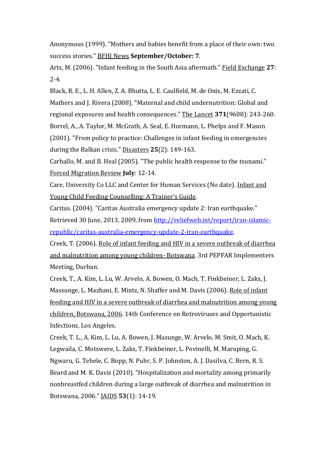Anonymous (1999). "Mothers and babies benefit from a place of their own: two success stories." BFHI News **September/October: 7**.

Arts, M. (2006). "Infant feeding in the South Asia aftermath." Field Exchange **27**: 2-4.

Black, R. E., L. H. Allen, Z. A. Bhutta, L. E. Caulfield, M. de Onis, M. Ezzati, C. Mathers and J. Rivera (2008). "Maternal and child undernutrition: Global and regional exposures and health consequences." The Lancet **371**(9608): 243-260. Borrel, A., A. Taylor, M. McGrath, A. Seal, E. Hormann, L. Phelps and F. Mason (2001). "From policy to practice: Challenges in infant feeding in emergencies during the Balkan crisis." Disasters **25**(2): 149-163.

Carballo, M. and B. Heal (2005). "The public health response to the tsunami." Forced Migration Review **July**: 12-14.

Care, University Co LLC and Center for Human Services (No date). Infant and Young Child Feeding Counselling: A Trainer's Guide.

Caritas. (2004). "Caritas Australia emergency update 2: Iran earthquake." Retrieved 30 June, 2013, 2009, from [http://reliefweb.int/report/iran-islamic](http://reliefweb.int/report/iran-islamic-republic/caritas-australia-emergency-update-2-iran-earthquake)[republic/caritas-australia-emergency-update-2-iran-earthquake.](http://reliefweb.int/report/iran-islamic-republic/caritas-australia-emergency-update-2-iran-earthquake)

Creek, T. (2006). Role of infant feeding and HIV in a severe outbreak of diarrhea and malnutrition among young children- Botswana. 3rd PEPFAR Implementers Meeting, Durban.

Creek, T., A. Kim, L. Lu, W. Arvelo, A. Bowen, O. Mach, T. Finkbeiner, L. Zaks, J. Massunge, L. Mazhani, E. Mintz, N. Shaffer and M. Davis (2006). Role of infant feeding and HIV in a severe outbreak of diarrhea and malnutrition among young children, Botswana, 2006. 14th Conference on Retroviruses and Opportunistic Infections, Los Angeles.

Creek, T. L., A. Kim, L. Lu, A. Bowen, J. Masunge, W. Arvelo, M. Smit, O. Mach, K. Legwaila, C. Motswere, L. Zaks, T. Finkbeiner, L. Povinelli, M. Maruping, G. Ngwaru, G. Tebele, C. Bopp, N. Puhr, S. P. Johnston, A. J. Dasilva, C. Bern, R. S. Beard and M. K. Davis (2010). "Hospitalization and mortality among primarily nonbreastfed children during a large outbreak of diarrhea and malnutrition in Botswana, 2006." JAIDS **53**(1): 14-19.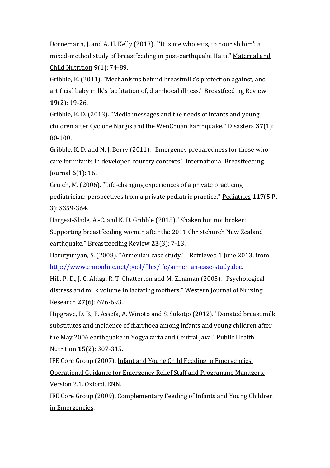Dörnemann, J. and A. H. Kelly (2013). "'It is me who eats, to nourish him': a mixed-method study of breastfeeding in post-earthquake Haiti." Maternal and Child Nutrition **9**(1): 74-89.

Gribble, K. (2011). "Mechanisms behind breastmilk's protection against, and artificial baby milk's facilitation of, diarrhoeal illness." Breastfeeding Review **19**(2): 19-26.

Gribble, K. D. (2013). "Media messages and the needs of infants and young children after Cyclone Nargis and the WenChuan Earthquake." Disasters **37**(1): 80-100.

Gribble, K. D. and N. J. Berry (2011). "Emergency preparedness for those who care for infants in developed country contexts." International Breastfeeding Journal **6**(1): 16.

Gruich, M. (2006). "Life-changing experiences of a private practicing pediatrician: perspectives from a private pediatric practice." Pediatrics **117**(5 Pt 3): S359-364.

Hargest-Slade, A.-C. and K. D. Gribble (2015). "Shaken but not broken: Supporting breastfeeding women after the 2011 Christchurch New Zealand earthquake." Breastfeeding Review **23**(3): 7-13.

Harutyunyan, S. (2008). "Armenian case study." Retrieved 1 June 2013, from [http://www.ennonline.net/pool/files/ife/armenian-case-study.doc.](http://www.ennonline.net/pool/files/ife/armenian-case-study.doc)

Hill, P. D., J. C. Aldag, R. T. Chatterton and M. Zinaman (2005). "Psychological distress and milk volume in lactating mothers." Western Journal of Nursing Research **27**(6): 676-693.

Hipgrave, D. B., F. Assefa, A. Winoto and S. Sukotjo (2012). "Donated breast milk substitutes and incidence of diarrhoea among infants and young children after the May 2006 earthquake in Yogyakarta and Central Java." Public Health Nutrition **15**(2): 307-315.

IFE Core Group (2007). Infant and Young Child Feeding in Emergencies: Operational Guidance for Emergency Relief Staff and Programme Managers. Version 2.1. Oxford, ENN.

IFE Core Group (2009). Complementary Feeding of Infants and Young Children in Emergencies.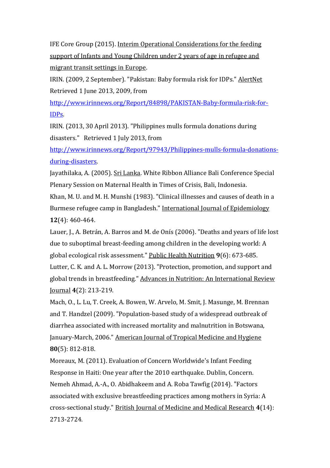IFE Core Group (2015). Interim Operational Considerations for the feeding support of Infants and Young Children under 2 years of age in refugee and migrant transit settings in Europe.

IRIN. (2009, 2 September). "Pakistan: Baby formula risk for IDPs." AlertNet Retrieved 1 June 2013, 2009, from

[http://www.irinnews.org/Report/84898/PAKISTAN-Baby-formula-risk-for-](http://www.irinnews.org/Report/84898/PAKISTAN-Baby-formula-risk-for-IDPs)[IDPs.](http://www.irinnews.org/Report/84898/PAKISTAN-Baby-formula-risk-for-IDPs)

IRIN. (2013, 30 April 2013). "Philippines mulls formula donations during disasters." Retrieved 1 July 2013, from

[http://www.irinnews.org/Report/97943/Philippines-mulls-formula-donations](http://www.irinnews.org/Report/97943/Philippines-mulls-formula-donations-during-disasters)[during-disasters.](http://www.irinnews.org/Report/97943/Philippines-mulls-formula-donations-during-disasters)

Jayathilaka, A. (2005). Sri Lanka. White Ribbon Alliance Bali Conference Special Plenary Session on Maternal Health in Times of Crisis, Bali, Indonesia.

Khan, M. U. and M. H. Munshi (1983). "Clinical illnesses and causes of death in a Burmese refugee camp in Bangladesh." International Journal of Epidemiology **12**(4): 460-464.

Lauer, J., A. Betrán, A. Barros and M. de Onís (2006). "Deaths and years of life lost due to suboptimal breast-feeding among children in the developing world: A global ecological risk assessment." Public Health Nutrition **9**(6): 673-685. Lutter, C. K. and A. L. Morrow (2013). "Protection, promotion, and support and global trends in breastfeeding." Advances in Nutrition: An International Review Journal **4**(2): 213-219.

Mach, O., L. Lu, T. Creek, A. Bowen, W. Arvelo, M. Smit, J. Masunge, M. Brennan and T. Handzel (2009). "Population-based study of a widespread outbreak of diarrhea associated with increased mortality and malnutrition in Botswana, January-March, 2006." American Journal of Tropical Medicine and Hygiene **80**(5): 812-818.

Moreaux, M. (2011). Evaluation of Concern Worldwide's Infant Feeding Response in Haiti: One year after the 2010 earthquake. Dublin, Concern. Nemeh Ahmad, A.-A., O. Abidhakeem and A. Roba Tawfig (2014). "Factors associated with exclusive breastfeeding practices among mothers in Syria: A cross-sectional study." British Journal of Medicine and Medical Research **4**(14): 2713-2724.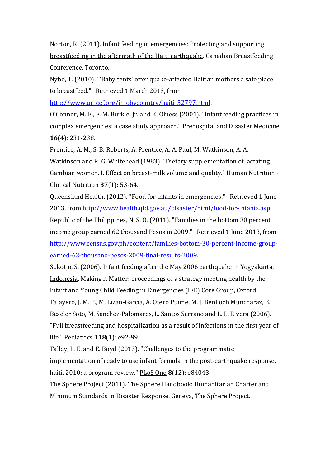Norton, R. (2011). Infant feeding in emergencies: Protecting and supporting breastfeeding in the aftermath of the Haiti earthquake. Canadian Breastfeeding Conference, Toronto.

Nybo, T. (2010). "'Baby tents' offer quake-affected Haitian mothers a safe place to breastfeed." Retrieved 1 March 2013, from

[http://www.unicef.org/infobycountry/haiti\\_52797.html.](http://www.unicef.org/infobycountry/haiti_52797.html)

O'Connor, M. E., F. M. Burkle, Jr. and K. Olness (2001). "Infant feeding practices in complex emergencies: a case study approach." Prehospital and Disaster Medicine **16**(4): 231-238.

Prentice, A. M., S. B. Roberts, A. Prentice, A. A. Paul, M. Watkinson, A. A.

Watkinson and R. G. Whitehead (1983). "Dietary supplementation of lactating Gambian women. I. Effect on breast-milk volume and quality." Human Nutrition - Clinical Nutrition **37**(1): 53-64.

Queensland Health. (2012). "Food for infants in emergencies." Retrieved 1 June 2013, from [http://www.health.qld.gov.au/disaster/html/food-for-infants.asp.](http://www.health.qld.gov.au/disaster/html/food-for-infants.asp) Republic of the Philippines, N. S. O. (2011). "Families in the bottom 30 percent income group earned 62 thousand Pesos in 2009." Retrieved 1 June 2013, from [http://www.census.gov.ph/content/families-bottom-30-percent-income-group](http://www.census.gov.ph/content/families-bottom-30-percent-income-group-earned-62-thousand-pesos-2009-final-results-2009)[earned-62-thousand-pesos-2009-final-results-2009.](http://www.census.gov.ph/content/families-bottom-30-percent-income-group-earned-62-thousand-pesos-2009-final-results-2009)

Sukotjo, S. (2006). Infant feeding after the May 2006 earthquake in Yogyakarta, Indonesia. Making it Matter: proceedings of a strategy meeting health by the Infant and Young Child Feeding in Emergencies (IFE) Core Group, Oxford.

Talayero, J. M. P., M. Lizan-Garcia, A. Otero Puime, M. J. Benlloch Muncharaz, B.

Beseler Soto, M. Sanchez-Palomares, L. Santos Serrano and L. L. Rivera (2006).

"Full breastfeeding and hospitalization as a result of infections in the first year of life." Pediatrics **118**(1): e92-99.

Talley, L. E. and E. Boyd (2013). "Challenges to the programmatic implementation of ready to use infant formula in the post-earthquake response, haiti, 2010: a program review." PLoS One **8**(12): e84043.

The Sphere Project (2011). The Sphere Handbook: Humanitarian Charter and Minimum Standards in Disaster Response. Geneva, The Sphere Project.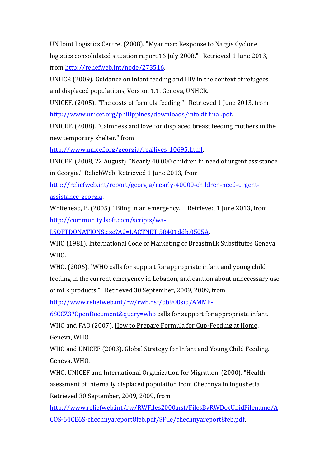UN Joint Logistics Centre. (2008). "Myanmar: Response to Nargis Cyclone logistics consolidated situation report 16 July 2008." Retrieved 1 June 2013, from [http://reliefweb.int/node/273516.](http://reliefweb.int/node/273516)

UNHCR (2009). Guidance on infant feeding and HIV in the context of refugees and displaced populations, Version 1.1. Geneva, UNHCR.

UNICEF. (2005). "The costs of formula feeding." Retrieved 1 June 2013, from [http://www.unicef.org/philippines/downloads/infokit final.pdf.](http://www.unicef.org/philippines/downloads/infokit%20final.pdf)

UNICEF. (2008). "Calmness and love for displaced breast feeding mothers in the new temporary shelter." from

[http://www.unicef.org/georgia/reallives\\_10695.html.](http://www.unicef.org/georgia/reallives_10695.html)

UNICEF. (2008, 22 August). "Nearly 40 000 children in need of urgent assistance in Georgia." ReliebWeb Retrieved 1 June 2013, from

[http://reliefweb.int/report/georgia/nearly-40000-children-need-urgent](http://reliefweb.int/report/georgia/nearly-40000-children-need-urgent-assistance-georgia)[assistance-georgia.](http://reliefweb.int/report/georgia/nearly-40000-children-need-urgent-assistance-georgia)

Whitehead, B. (2005). "Bfing in an emergency." Retrieved 1 June 2013, from [http://community.lsoft.com/scripts/wa-](http://community.lsoft.com/scripts/wa-LSOFTDONATIONS.exe?A2=LACTNET;58401ddb.0505A)

[LSOFTDONATIONS.exe?A2=LACTNET;58401ddb.0505A.](http://community.lsoft.com/scripts/wa-LSOFTDONATIONS.exe?A2=LACTNET;58401ddb.0505A)

WHO (1981). International Code of Marketing of Breastmilk Substitutes Geneva, WHO.

WHO. (2006). "WHO calls for support for appropriate infant and young child feeding in the current emergency in Lebanon, and caution about unnecessary use of milk products." Retrieved 30 September, 2009, 2009, from

[http://www.reliefweb.int/rw/rwb.nsf/db900sid/AMMF-](http://www.reliefweb.int/rw/rwb.nsf/db900sid/AMMF-6SCCZ3?OpenDocument&query=who)

[6SCCZ3?OpenDocument&query=who](http://www.reliefweb.int/rw/rwb.nsf/db900sid/AMMF-6SCCZ3?OpenDocument&query=who) calls for support for appropriate infant.

WHO and FAO (2007). How to Prepare Formula for Cup-Feeding at Home. Geneva, WHO.

WHO and UNICEF (2003). Global Strategy for Infant and Young Child Feeding. Geneva, WHO.

WHO, UNICEF and International Organization for Migration. (2000). "Health asessment of internally displaced population from Chechnya in Ingushetia " Retrieved 30 September, 2009, 2009, from

[http://www.reliefweb.int/rw/RWFiles2000.nsf/FilesByRWDocUnidFilename/A](http://www.reliefweb.int/rw/RWFiles2000.nsf/FilesByRWDocUnidFilename/ACOS-64CE6S-chechnyareport8feb.pdf/$File/chechnyareport8feb.pdf) [COS-64CE6S-chechnyareport8feb.pdf/\\$File/chechnyareport8feb.pdf.](http://www.reliefweb.int/rw/RWFiles2000.nsf/FilesByRWDocUnidFilename/ACOS-64CE6S-chechnyareport8feb.pdf/$File/chechnyareport8feb.pdf)